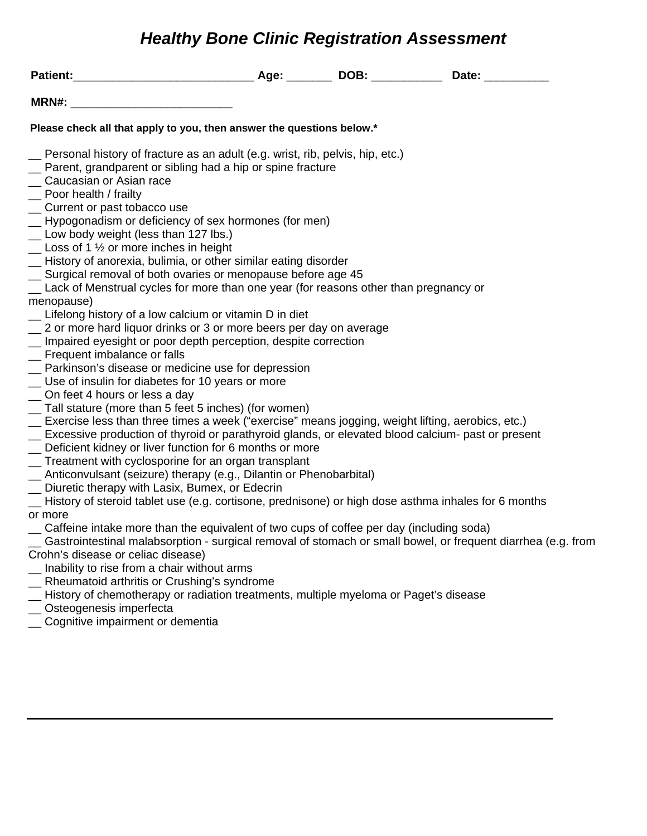## *Healthy Bone Clinic Registration Assessment*

| MRN#:                                                                                                 |  |                                                                                                              |
|-------------------------------------------------------------------------------------------------------|--|--------------------------------------------------------------------------------------------------------------|
| Please check all that apply to you, then answer the questions below.*                                 |  |                                                                                                              |
| er Personal history of fracture as an adult (e.g. wrist, rib, pelvis, hip, etc.)                      |  |                                                                                                              |
| _ Parent, grandparent or sibling had a hip or spine fracture                                          |  |                                                                                                              |
| Caucasian or Asian race                                                                               |  |                                                                                                              |
| $\equiv$ Poor health / frailty                                                                        |  |                                                                                                              |
| _ Current or past tobacco use                                                                         |  |                                                                                                              |
| _ Hypogonadism or deficiency of sex hormones (for men)                                                |  |                                                                                                              |
| _ Low body weight (less than 127 lbs.)                                                                |  |                                                                                                              |
| $\mathcal{L}$ Loss of 1 $\frac{1}{2}$ or more inches in height                                        |  |                                                                                                              |
| - History of anorexia, bulimia, or other similar eating disorder                                      |  |                                                                                                              |
| Surgical removal of both ovaries or menopause before age 45                                           |  |                                                                                                              |
| _ Lack of Menstrual cycles for more than one year (for reasons other than pregnancy or                |  |                                                                                                              |
| menopause)                                                                                            |  |                                                                                                              |
| _ Lifelong history of a low calcium or vitamin D in diet                                              |  |                                                                                                              |
| 2 or more hard liquor drinks or 3 or more beers per day on average                                    |  |                                                                                                              |
| _ Impaired eyesight or poor depth perception, despite correction                                      |  |                                                                                                              |
| _ Frequent imbalance or falls                                                                         |  |                                                                                                              |
| _ Parkinson's disease or medicine use for depression                                                  |  |                                                                                                              |
| _ Use of insulin for diabetes for 10 years or more                                                    |  |                                                                                                              |
| _ On feet 4 hours or less a day                                                                       |  |                                                                                                              |
| _ Tall stature (more than 5 feet 5 inches) (for women)                                                |  |                                                                                                              |
| _ Exercise less than three times a week ("exercise" means jogging, weight lifting, aerobics, etc.)    |  |                                                                                                              |
| _ Excessive production of thyroid or parathyroid glands, or elevated blood calcium- past or present   |  |                                                                                                              |
| _ Deficient kidney or liver function for 6 months or more                                             |  |                                                                                                              |
| _ Treatment with cyclosporine for an organ transplant                                                 |  |                                                                                                              |
| _ Anticonvulsant (seizure) therapy (e.g., Dilantin or Phenobarbital)                                  |  |                                                                                                              |
| _ Diuretic therapy with Lasix, Bumex, or Edecrin                                                      |  |                                                                                                              |
| - History of steroid tablet use (e.g. cortisone, prednisone) or high dose asthma inhales for 6 months |  |                                                                                                              |
| or more                                                                                               |  |                                                                                                              |
| Caffeine intake more than the equivalent of two cups of coffee per day (including soda)               |  |                                                                                                              |
|                                                                                                       |  | Gastrointestinal malabsorption - surgical removal of stomach or small bowel, or frequent diarrhea (e.g. from |
| Crohn's disease or celiac disease)                                                                    |  |                                                                                                              |
| Inability to rise from a chair without arms                                                           |  |                                                                                                              |
| _ Rheumatoid arthritis or Crushing's syndrome                                                         |  |                                                                                                              |
| _ History of chemotherapy or radiation treatments, multiple myeloma or Paget's disease                |  |                                                                                                              |
|                                                                                                       |  |                                                                                                              |
| _ Osteogenesis imperfecta<br>_ Cognitive impairment or dementia                                       |  |                                                                                                              |